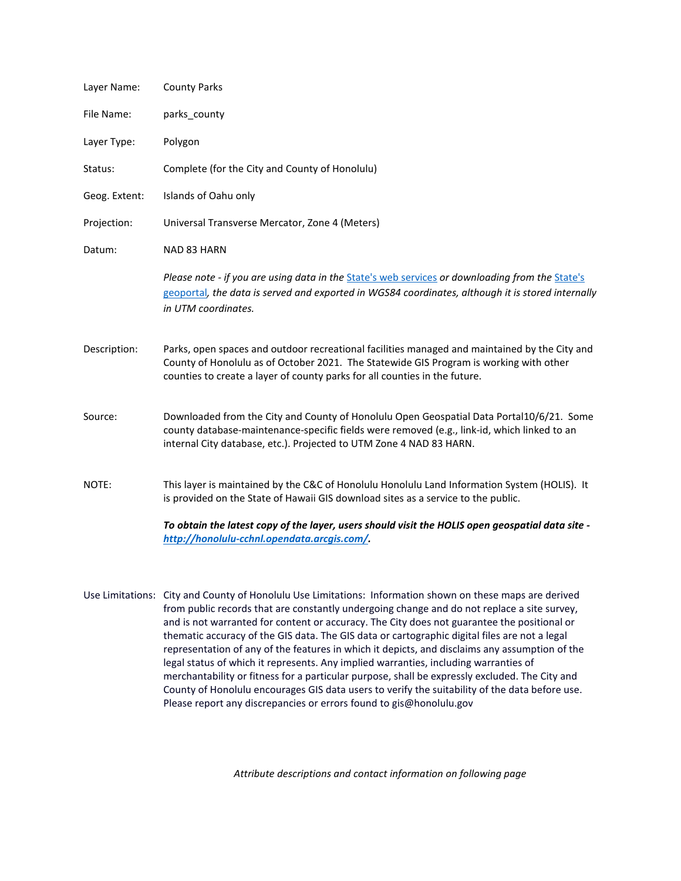| Layer Name:   | <b>County Parks</b>                                                                                                                                                                                                                                                   |  |
|---------------|-----------------------------------------------------------------------------------------------------------------------------------------------------------------------------------------------------------------------------------------------------------------------|--|
| File Name:    | parks_county                                                                                                                                                                                                                                                          |  |
| Layer Type:   | Polygon                                                                                                                                                                                                                                                               |  |
| Status:       | Complete (for the City and County of Honolulu)                                                                                                                                                                                                                        |  |
| Geog. Extent: | Islands of Oahu only                                                                                                                                                                                                                                                  |  |
| Projection:   | Universal Transverse Mercator, Zone 4 (Meters)                                                                                                                                                                                                                        |  |
| Datum:        | NAD 83 HARN                                                                                                                                                                                                                                                           |  |
|               | Please note - if you are using data in the State's web services or downloading from the State's<br>geoportal, the data is served and exported in WGS84 coordinates, although it is stored internally<br>in UTM coordinates.                                           |  |
| Description:  | Parks, open spaces and outdoor recreational facilities managed and maintained by the City and<br>County of Honolulu as of October 2021. The Statewide GIS Program is working with other<br>counties to create a layer of county parks for all counties in the future. |  |
| Source:       | Downloaded from the City and County of Honolulu Open Geospatial Data Portal10/6/21. Some<br>county database-maintenance-specific fields were removed (e.g., link-id, which linked to an<br>internal City database, etc.). Projected to UTM Zone 4 NAD 83 HARN.        |  |
| NOTE:         | This layer is maintained by the C&C of Honolulu Honolulu Land Information System (HOLIS). It<br>is provided on the State of Hawaii GIS download sites as a service to the public.                                                                                     |  |
|               | To obtain the latest copy of the layer, users should visit the HOLIS open geospatial data site -<br>http://honolulu-cchnl.opendata.arcgis.com/                                                                                                                        |  |

Use Limitations: City and County of Honolulu Use Limitations: Information shown on these maps are derived from public records that are constantly undergoing change and do not replace a site survey, and is not warranted for content or accuracy. The City does not guarantee the positional or thematic accuracy of the GIS data. The GIS data or cartographic digital files are not a legal representation of any of the features in which it depicts, and disclaims any assumption of the legal status of which it represents. Any implied warranties, including warranties of merchantability or fitness for a particular purpose, shall be expressly excluded. The City and County of Honolulu encourages GIS data users to verify the suitability of the data before use. Please report any discrepancies or errors found to gis@honolulu.gov

*Attribute descriptions and contact information on following page*